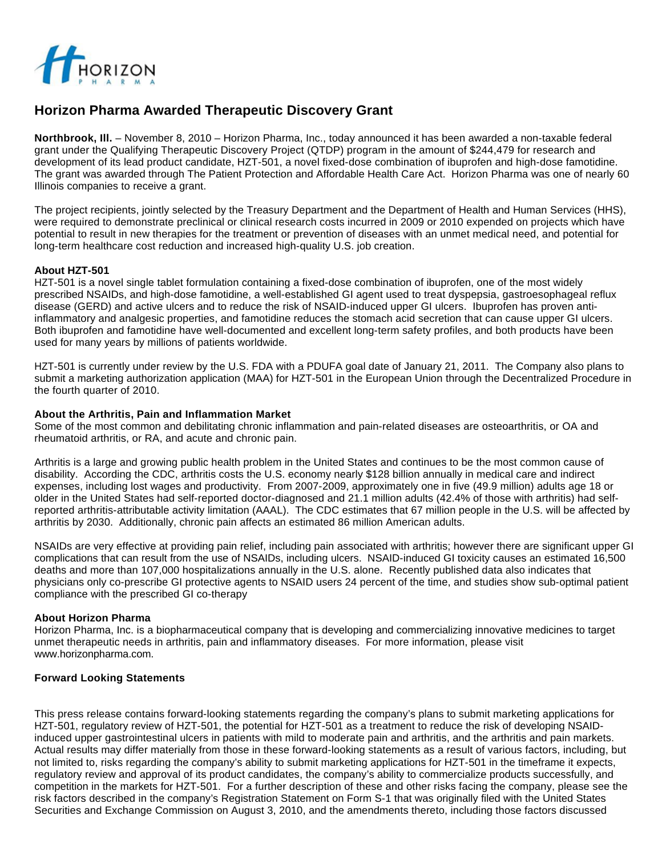

# **Horizon Pharma Awarded Therapeutic Discovery Grant**

**Northbrook, Ill.** – November 8, 2010 – Horizon Pharma, Inc., today announced it has been awarded a non-taxable federal grant under the Qualifying Therapeutic Discovery Project (QTDP) program in the amount of \$244,479 for research and development of its lead product candidate, HZT-501, a novel fixed-dose combination of ibuprofen and high-dose famotidine. The grant was awarded through The Patient Protection and Affordable Health Care Act. Horizon Pharma was one of nearly 60 Illinois companies to receive a grant.

The project recipients, jointly selected by the Treasury Department and the Department of Health and Human Services (HHS), were required to demonstrate preclinical or clinical research costs incurred in 2009 or 2010 expended on projects which have potential to result in new therapies for the treatment or prevention of diseases with an unmet medical need, and potential for long-term healthcare cost reduction and increased high-quality U.S. job creation.

## **About HZT-501**

HZT-501 is a novel single tablet formulation containing a fixed-dose combination of ibuprofen, one of the most widely prescribed NSAIDs, and high-dose famotidine, a well-established GI agent used to treat dyspepsia, gastroesophageal reflux disease (GERD) and active ulcers and to reduce the risk of NSAID-induced upper GI ulcers. Ibuprofen has proven antiinflammatory and analgesic properties, and famotidine reduces the stomach acid secretion that can cause upper GI ulcers. Both ibuprofen and famotidine have well-documented and excellent long-term safety profiles, and both products have been used for many years by millions of patients worldwide.

HZT-501 is currently under review by the U.S. FDA with a PDUFA goal date of January 21, 2011. The Company also plans to submit a marketing authorization application (MAA) for HZT-501 in the European Union through the Decentralized Procedure in the fourth quarter of 2010.

#### **About the Arthritis, Pain and Inflammation Market**

Some of the most common and debilitating chronic inflammation and pain-related diseases are osteoarthritis, or OA and rheumatoid arthritis, or RA, and acute and chronic pain.

Arthritis is a large and growing public health problem in the United States and continues to be the most common cause of disability. According the CDC, arthritis costs the U.S. economy nearly \$128 billion annually in medical care and indirect expenses, including lost wages and productivity. From 2007-2009, approximately one in five (49.9 million) adults age 18 or older in the United States had self-reported doctor-diagnosed and 21.1 million adults (42.4% of those with arthritis) had selfreported arthritis-attributable activity limitation (AAAL). The CDC estimates that 67 million people in the U.S. will be affected by arthritis by 2030. Additionally, chronic pain affects an estimated 86 million American adults.

NSAIDs are very effective at providing pain relief, including pain associated with arthritis; however there are significant upper GI complications that can result from the use of NSAIDs, including ulcers. NSAID-induced GI toxicity causes an estimated 16,500 deaths and more than 107,000 hospitalizations annually in the U.S. alone. Recently published data also indicates that physicians only co-prescribe GI protective agents to NSAID users 24 percent of the time, and studies show sub-optimal patient compliance with the prescribed GI co-therapy

## **About Horizon Pharma**

Horizon Pharma, Inc. is a biopharmaceutical company that is developing and commercializing innovative medicines to target unmet therapeutic needs in arthritis, pain and inflammatory diseases. For more information, please visit www.horizonpharma.com.

## **Forward Looking Statements**

This press release contains forward-looking statements regarding the company's plans to submit marketing applications for HZT-501, regulatory review of HZT-501, the potential for HZT-501 as a treatment to reduce the risk of developing NSAIDinduced upper gastrointestinal ulcers in patients with mild to moderate pain and arthritis, and the arthritis and pain markets. Actual results may differ materially from those in these forward-looking statements as a result of various factors, including, but not limited to, risks regarding the company's ability to submit marketing applications for HZT-501 in the timeframe it expects, regulatory review and approval of its product candidates, the company's ability to commercialize products successfully, and competition in the markets for HZT-501. For a further description of these and other risks facing the company, please see the risk factors described in the company's Registration Statement on Form S-1 that was originally filed with the United States Securities and Exchange Commission on August 3, 2010, and the amendments thereto, including those factors discussed